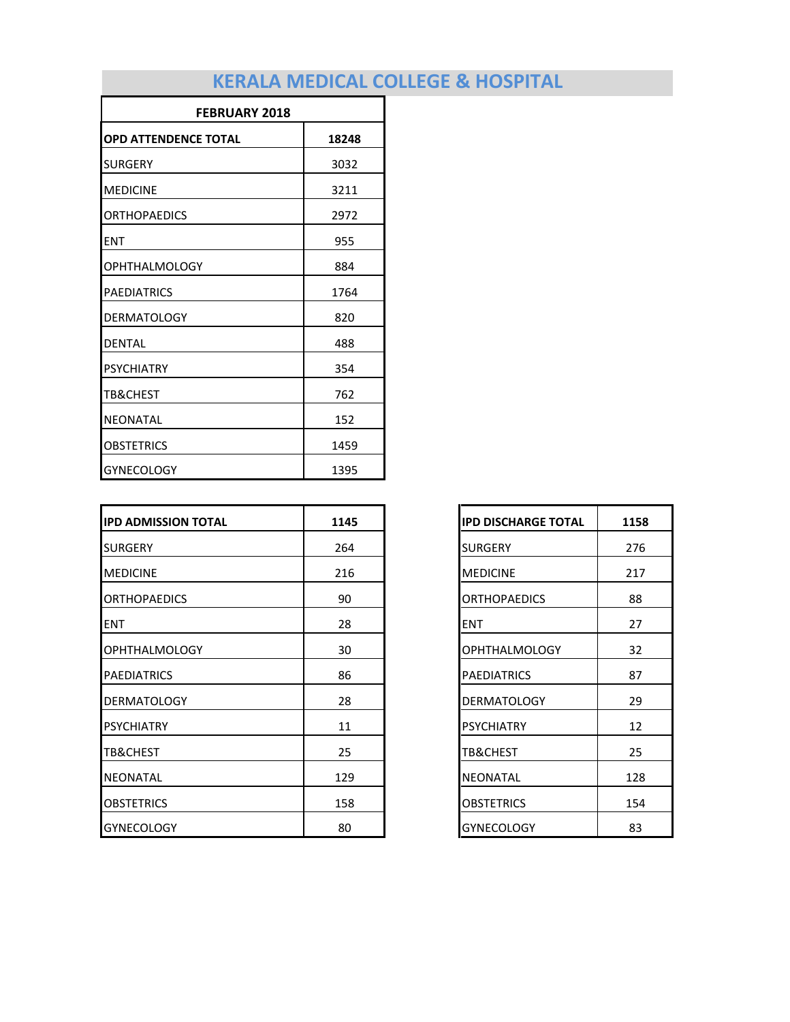| <b>FEBRUARY 2018</b>        |       |  |
|-----------------------------|-------|--|
| <b>OPD ATTENDENCE TOTAL</b> | 18248 |  |
| <b>SURGERY</b>              | 3032  |  |
| <b>MEDICINE</b>             | 3211  |  |
| <b>ORTHOPAEDICS</b>         | 2972  |  |
| <b>ENT</b>                  | 955   |  |
| <b>OPHTHALMOLOGY</b>        | 884   |  |
| <b>PAEDIATRICS</b>          | 1764  |  |
| <b>DERMATOLOGY</b>          | 820   |  |
| <b>DENTAL</b>               | 488   |  |
| <b>PSYCHIATRY</b>           | 354   |  |
| <b>TB&amp;CHEST</b>         | 762   |  |
| <b>NEONATAL</b>             | 152   |  |
| <b>OBSTETRICS</b>           | 1459  |  |
| <b>GYNECOLOGY</b>           | 1395  |  |

| <b>IPD ADMISSION TOTAL</b> | 1145 |
|----------------------------|------|
| <b>SURGERY</b>             | 264  |
| <b>MEDICINE</b>            | 216  |
| <b>ORTHOPAEDICS</b>        | 90   |
| <b>ENT</b>                 | 28   |
| <b>OPHTHALMOLOGY</b>       | 30   |
| <b>PAEDIATRICS</b>         | 86   |
| <b>DERMATOLOGY</b>         | 28   |
| <b>PSYCHIATRY</b>          | 11   |
| <b>TB&amp;CHEST</b>        | 25   |
| <b>NEONATAL</b>            | 129  |
| <b>OBSTETRICS</b>          | 158  |
| <b>GYNECOLOGY</b>          | 80   |

| <b>IPD DISCHARGE TOTAL</b> | 1158 |
|----------------------------|------|
| <b>SURGERY</b>             | 276  |
| <b>MEDICINE</b>            | 217  |
| <b>ORTHOPAEDICS</b>        | 88   |
| ENT                        | 27   |
| OPHTHALMOLOGY              | 32   |
| <b>PAEDIATRICS</b>         | 87   |
| <b>DERMATOLOGY</b>         | 29   |
| <b>PSYCHIATRY</b>          | 12   |
| TB&CHEST                   | 25   |
| NEONATAL                   | 128  |
| OBSTETRICS                 | 154  |
| GYNECOLOGY                 | 83   |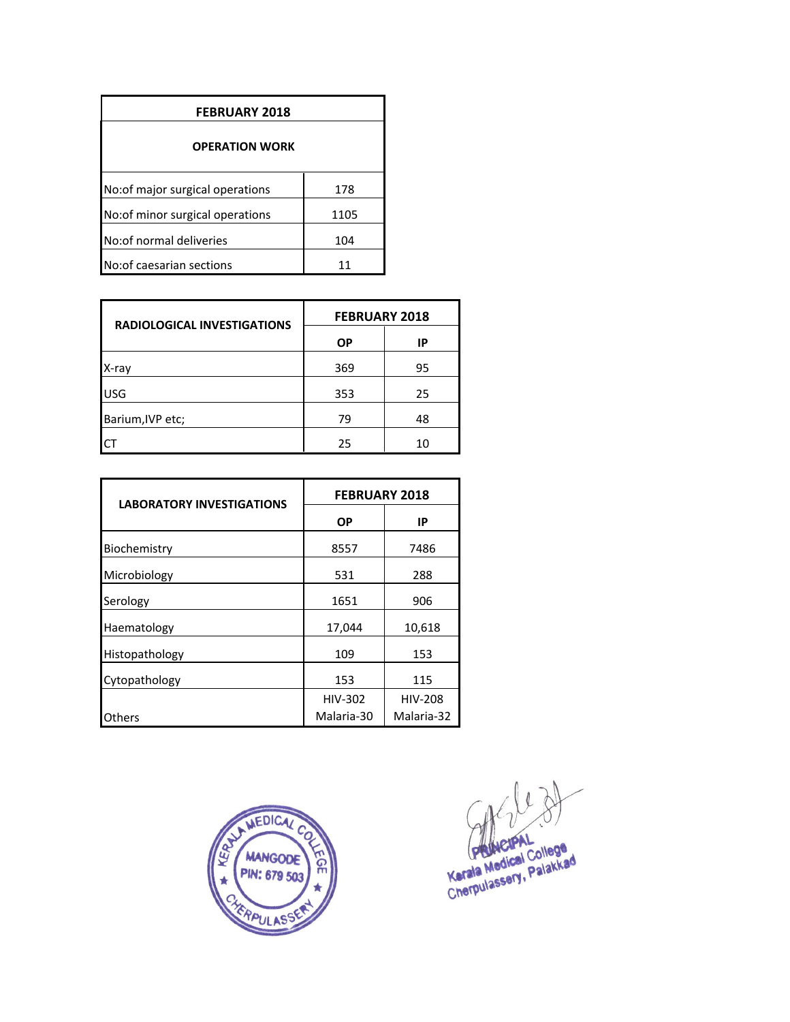| <b>FEBRUARY 2018</b>             |      |  |  |
|----------------------------------|------|--|--|
| <b>OPERATION WORK</b>            |      |  |  |
| No: of major surgical operations | 178  |  |  |
| No: of minor surgical operations | 1105 |  |  |
| No: of normal deliveries         | 104  |  |  |
| No: of caesarian sections        |      |  |  |

| <b>RADIOLOGICAL INVESTIGATIONS</b> | <b>FEBRUARY 2018</b> |    |  |
|------------------------------------|----------------------|----|--|
|                                    | ΟP                   | IP |  |
| X-ray                              | 369                  | 95 |  |
| <b>USG</b>                         | 353                  | 25 |  |
| Barium, IVP etc;                   | 79                   | 48 |  |
|                                    | 25                   | 10 |  |

| <b>LABORATORY INVESTIGATIONS</b> | <b>FEBRUARY 2018</b> |                |  |
|----------------------------------|----------------------|----------------|--|
|                                  | ΟP                   | IP             |  |
| Biochemistry                     | 8557                 | 7486           |  |
| Microbiology                     | 531                  | 288            |  |
| Serology                         | 1651                 | 906            |  |
| Haematology                      | 17,044               | 10,618         |  |
| Histopathology                   | 109                  | 153            |  |
| Cytopathology                    | 153                  | 115            |  |
|                                  | <b>HIV-302</b>       | <b>HIV-208</b> |  |
| Others                           | Malaria-30           | Malaria-32     |  |



Karala Medical College<br>Karala Medical College<br>Cherpulassery, Palakkad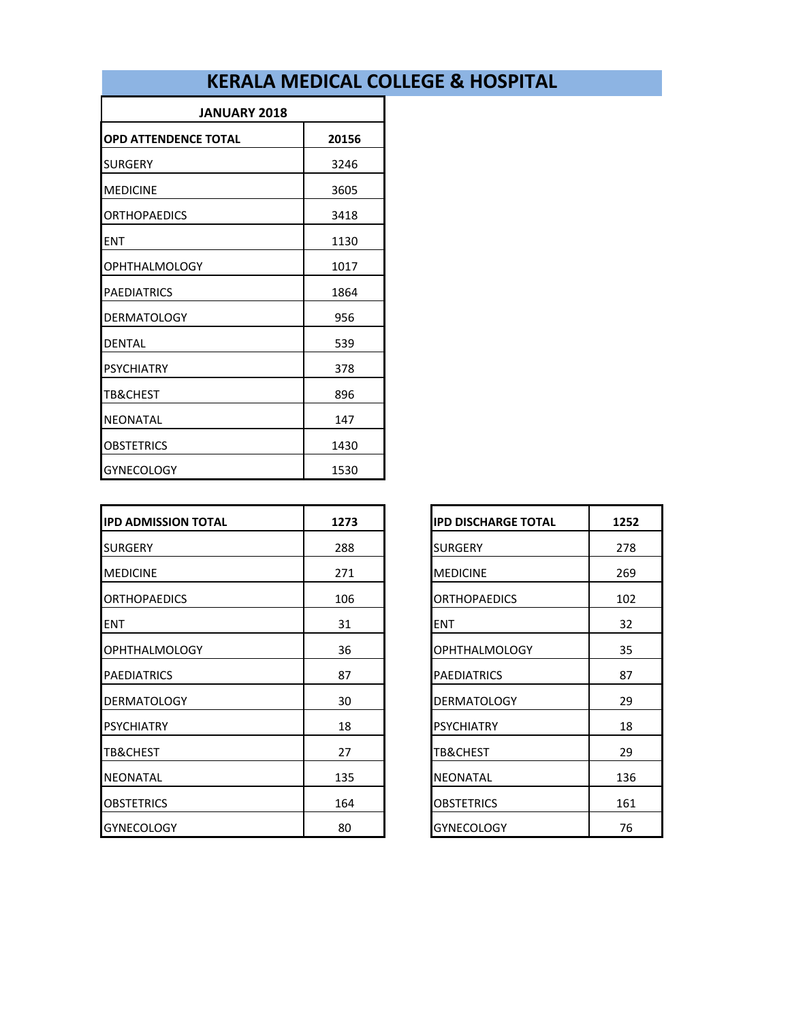| <b>JANUARY 2018</b>         |       |  |
|-----------------------------|-------|--|
| <b>OPD ATTENDENCE TOTAL</b> | 20156 |  |
| <b>SURGERY</b>              | 3246  |  |
| <b>MEDICINE</b>             | 3605  |  |
| <b>ORTHOPAEDICS</b>         | 3418  |  |
| <b>ENT</b>                  | 1130  |  |
| <b>OPHTHALMOLOGY</b>        | 1017  |  |
| <b>PAEDIATRICS</b>          | 1864  |  |
| <b>DERMATOLOGY</b>          | 956   |  |
| <b>DENTAL</b>               | 539   |  |
| <b>PSYCHIATRY</b>           | 378   |  |
| TB&CHEST                    | 896   |  |
| <b>NEONATAL</b>             | 147   |  |
| <b>OBSTETRICS</b>           | 1430  |  |
| <b>GYNECOLOGY</b>           | 1530  |  |

| <b>IPD ADMISSION TOTAL</b> | 1273 | <b>IPD DISCHARGE TOTAL</b> |
|----------------------------|------|----------------------------|
| <b>SURGERY</b>             | 288  | <b>SURGERY</b>             |
| <b>MEDICINE</b>            | 271  | <b>MEDICINE</b>            |
| <b>ORTHOPAEDICS</b>        | 106  | <b>ORTHOPAEDICS</b>        |
| <b>ENT</b>                 | 31   | ENT                        |
| <b>OPHTHALMOLOGY</b>       | 36   | <b>OPHTHALMOLOGY</b>       |
| <b>PAEDIATRICS</b>         | 87   | <b>PAEDIATRICS</b>         |
| <b>DERMATOLOGY</b>         | 30   | <b>DERMATOLOGY</b>         |
| <b>PSYCHIATRY</b>          | 18   | <b>PSYCHIATRY</b>          |
| TB&CHEST                   | 27   | TB&CHEST                   |
| <b>NEONATAL</b>            | 135  | <b>NEONATAL</b>            |
| <b>OBSTETRICS</b>          | 164  | <b>OBSTETRICS</b>          |
| <b>GYNECOLOGY</b>          | 80   | <b>GYNECOLOGY</b>          |

| <b>IPD DISCHARGE TOTAL</b> | 1252 |
|----------------------------|------|
| SURGERY                    | 278  |
| <b>MEDICINE</b>            | 269  |
| ORTHOPAEDICS               | 102  |
| ENT                        | 32   |
| OPHTHALMOLOGY              | 35   |
| PAEDIATRICS                | 87   |
| <b>DERMATOLOGY</b>         | 29   |
| PSYCHIATRY                 | 18   |
| TB&CHEST                   | 29   |
| NEONATAL                   | 136  |
| OBSTETRICS                 | 161  |
| <b>GYNECOLOGY</b>          | 76   |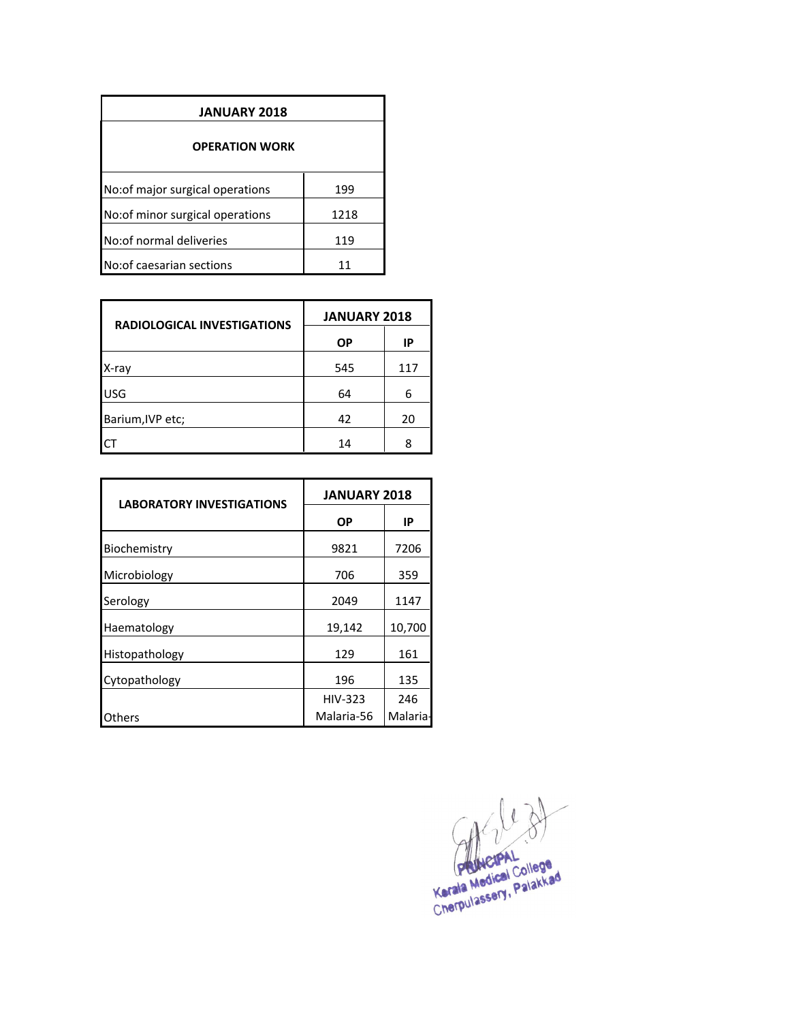| <b>JANUARY 2018</b>              |      |  |  |
|----------------------------------|------|--|--|
| <b>OPERATION WORK</b>            |      |  |  |
| No: of major surgical operations | 199  |  |  |
| No:of minor surgical operations  | 1218 |  |  |
| No: of normal deliveries         | 119  |  |  |
| No: of caesarian sections        |      |  |  |

| <b>RADIOLOGICAL INVESTIGATIONS</b> | <b>JANUARY 2018</b> |     |
|------------------------------------|---------------------|-----|
|                                    | ΟP                  | ΙP  |
| X-ray                              | 545                 | 117 |
| <b>USG</b>                         | 64                  | 6   |
| Barium, IVP etc;                   | 42                  | 20  |
|                                    | 14                  | Ջ   |

| <b>LABORATORY INVESTIGATIONS</b> | <b>JANUARY 2018</b> |          |
|----------------------------------|---------------------|----------|
|                                  | ΟP                  | IP       |
| Biochemistry                     | 9821                | 7206     |
| Microbiology                     | 706                 | 359      |
| Serology                         | 2049                | 1147     |
| Haematology                      | 19,142              | 10,700   |
| Histopathology                   | 129                 | 161      |
| Cytopathology                    | 196                 | 135      |
|                                  | HIV-323             | 246      |
| Others                           | Malaria-56          | Malaria- |

Kerala Medical College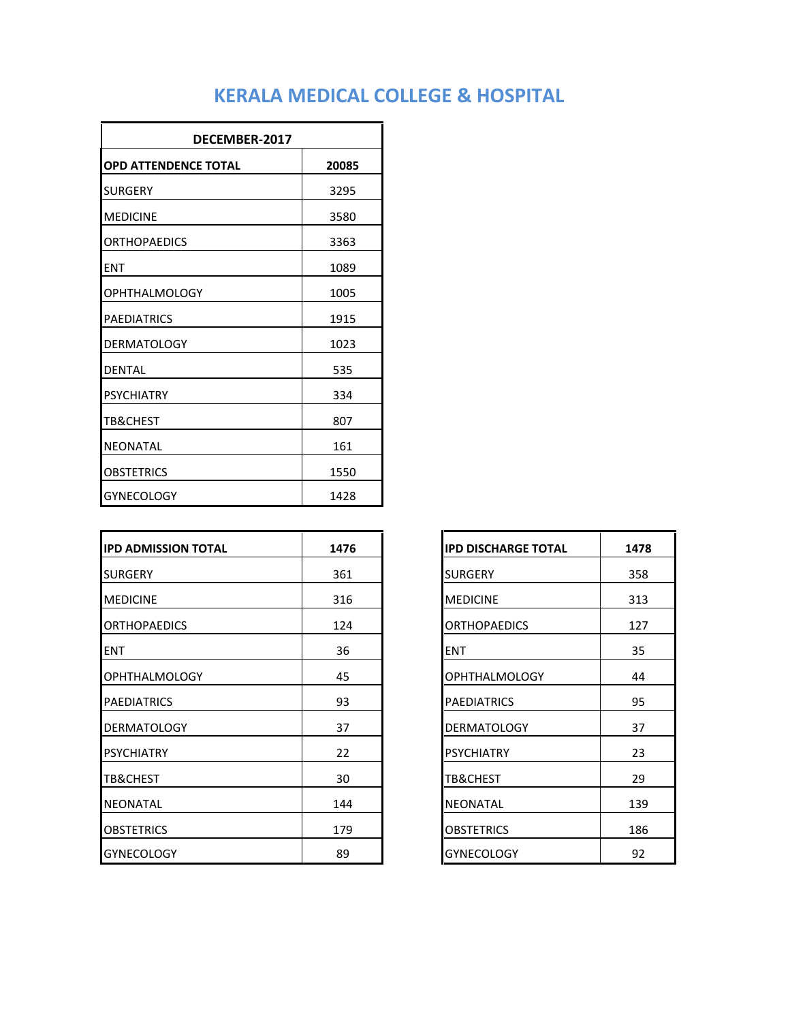| DECEMBER-2017               |       |  |
|-----------------------------|-------|--|
| <b>OPD ATTENDENCE TOTAL</b> | 20085 |  |
| <b>SURGERY</b>              | 3295  |  |
| <b>MEDICINE</b>             | 3580  |  |
| <b>ORTHOPAEDICS</b>         | 3363  |  |
| <b>ENT</b>                  | 1089  |  |
| <b>OPHTHALMOLOGY</b>        | 1005  |  |
| <b>PAEDIATRICS</b>          | 1915  |  |
| <b>DERMATOLOGY</b>          | 1023  |  |
| <b>DENTAL</b>               | 535   |  |
| <b>PSYCHIATRY</b>           | 334   |  |
| <b>TB&amp;CHEST</b>         | 807   |  |
| <b>NEONATAL</b>             | 161   |  |
| OBSTETRICS                  | 1550  |  |
| <b>GYNECOLOGY</b>           | 1428  |  |

| <b>IPD ADMISSION TOTAL</b> | 1476 | <b>IPD DISCHARGE TOTAL</b> | 1478 |
|----------------------------|------|----------------------------|------|
| <b>SURGERY</b>             | 361  | <b>SURGERY</b>             | 358  |
| <b>IMEDICINE</b>           | 316  | <b>MEDICINE</b>            | 313  |
| <b>ORTHOPAEDICS</b>        | 124  | <b>ORTHOPAEDICS</b>        | 127  |
| <b>ENT</b>                 | 36   | <b>ENT</b>                 | 35   |
| <b>OPHTHALMOLOGY</b>       | 45   | <b>OPHTHALMOLOGY</b>       | 44   |
| <b>PAEDIATRICS</b>         | 93   | <b>PAEDIATRICS</b>         | 95   |
| <b>DERMATOLOGY</b>         | 37   | <b>DERMATOLOGY</b>         | 37   |
| <b>PSYCHIATRY</b>          | 22   | <b>PSYCHIATRY</b>          | 23   |
| <b>TB&amp;CHEST</b>        | 30   | TB&CHEST                   | 29   |
| <b>NEONATAL</b>            | 144  | <b>NEONATAL</b>            | 139  |
| <b>OBSTETRICS</b>          | 179  | <b>OBSTETRICS</b>          | 186  |
| <b>GYNECOLOGY</b>          | 89   | <b>GYNECOLOGY</b>          | 92   |

| <b>IPD DISCHARGE TOTAL</b> | 1478 |
|----------------------------|------|
| <b>SURGERY</b>             | 358  |
| <b>MEDICINE</b>            | 313  |
| <b>ORTHOPAEDICS</b>        | 127  |
| <b>ENT</b>                 | 35   |
| OPHTHALMOLOGY              | 44   |
| <b>PAEDIATRICS</b>         | 95   |
| <b>DERMATOLOGY</b>         | 37   |
| PSYCHIATRY                 | 23   |
| TB&CHEST                   | 29   |
| NEONATAL                   | 139  |
| <b>OBSTETRICS</b>          | 186  |
| <b>GYNECOLOGY</b>          | 92   |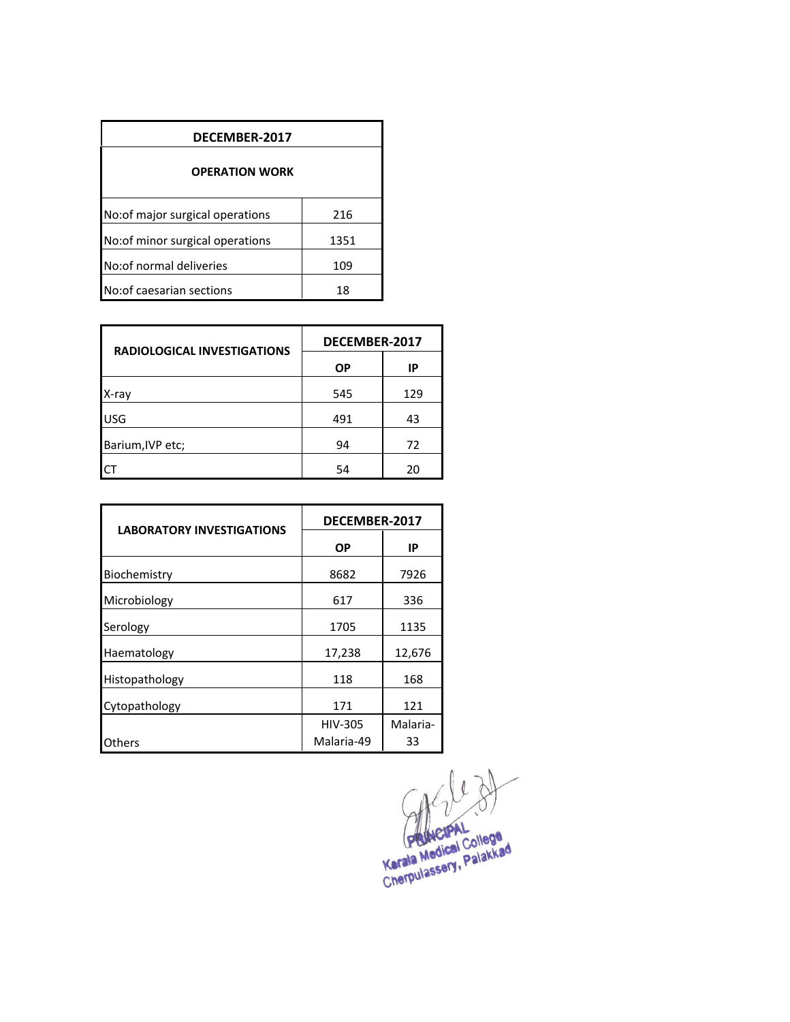| DECEMBER-2017                           |      |  |  |  |  |
|-----------------------------------------|------|--|--|--|--|
| <b>OPERATION WORK</b>                   |      |  |  |  |  |
| No: of major surgical operations<br>216 |      |  |  |  |  |
| No: of minor surgical operations        | 1351 |  |  |  |  |
| No: of normal deliveries<br>109         |      |  |  |  |  |
| No: of caesarian sections               | 18   |  |  |  |  |

| <b>RADIOLOGICAL INVESTIGATIONS</b> | DECEMBER-2017 |     |  |
|------------------------------------|---------------|-----|--|
|                                    | <b>OP</b>     | IP  |  |
| X-ray                              | 545           | 129 |  |
| <b>USG</b>                         | 491           | 43  |  |
| Barium, IVP etc;                   | 94            | 72  |  |
|                                    | 54            | 20  |  |

| <b>LABORATORY INVESTIGATIONS</b> | DECEMBER-2017  |          |  |
|----------------------------------|----------------|----------|--|
|                                  | <b>OP</b>      | IP       |  |
| Biochemistry                     | 8682           | 7926     |  |
| Microbiology                     | 617            | 336      |  |
| Serology                         | 1705           | 1135     |  |
| Haematology                      | 17,238         | 12,676   |  |
| Histopathology                   | 118            | 168      |  |
| Cytopathology                    | 171            | 121      |  |
|                                  | <b>HIV-305</b> | Malaria- |  |
| Others                           | Malaria-49     | 33       |  |

 $403$ Kerala Medical College<br>Kerala Medical College<br>Cherpulassery, Palakkad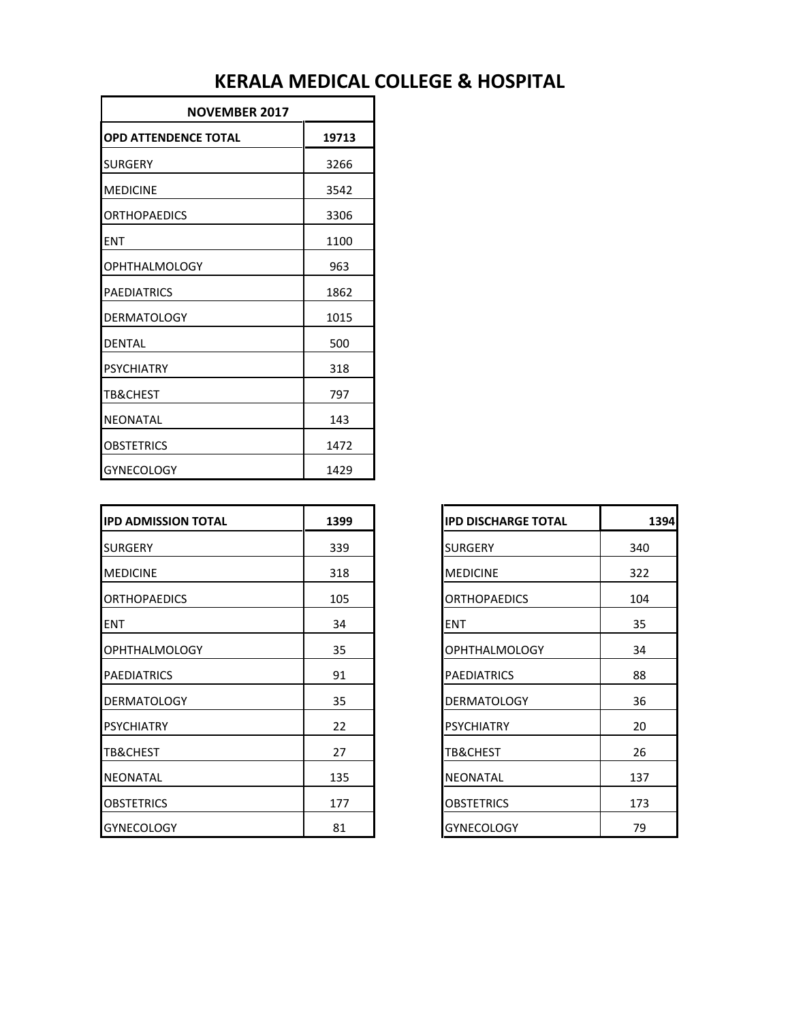| <b>NOVEMBER 2017</b>        |       |  |
|-----------------------------|-------|--|
| <b>OPD ATTENDENCE TOTAL</b> | 19713 |  |
| <b>SURGERY</b>              | 3266  |  |
| <b>MEDICINE</b>             | 3542  |  |
| <b>ORTHOPAEDICS</b>         | 3306  |  |
| <b>ENT</b>                  | 1100  |  |
| <b>OPHTHALMOLOGY</b>        | 963   |  |
| <b>PAEDIATRICS</b>          | 1862  |  |
| <b>DERMATOLOGY</b>          | 1015  |  |
| <b>DENTAL</b>               | 500   |  |
| <b>PSYCHIATRY</b>           | 318   |  |
| <b>TB&amp;CHEST</b>         | 797   |  |
| NEONATAL                    | 143   |  |
| OBSTETRICS                  | 1472  |  |
| <b>GYNECOLOGY</b>           | 1429  |  |

| <b>IPD ADMISSION TOTAL</b> | 1399 |
|----------------------------|------|
| <b>SURGERY</b>             | 339  |
| <b>IMEDICINE</b>           | 318  |
| <b>ORTHOPAEDICS</b>        | 105  |
| <b>ENT</b>                 | 34   |
| <b>OPHTHALMOLOGY</b>       | 35   |
| <b>PAEDIATRICS</b>         | 91   |
| <b>DERMATOLOGY</b>         | 35   |
| <b>PSYCHIATRY</b>          | 22   |
| <b>TB&amp;CHEST</b>        | 27   |
| <b>NEONATAL</b>            | 135  |
| <b>OBSTETRICS</b>          | 177  |
| <b>GYNECOLOGY</b>          | 81   |

| <b>IPD DISCHARGE TOTAL</b> | 1394 |
|----------------------------|------|
| <b>SURGERY</b>             | 340  |
| <b>MEDICINE</b>            | 322  |
| <b>ORTHOPAEDICS</b>        | 104  |
| ENT                        | 35   |
| <b>OPHTHALMOLOGY</b>       | 34   |
| <b>PAEDIATRICS</b>         | 88   |
| <b>DERMATOLOGY</b>         | 36   |
| <b>PSYCHIATRY</b>          | 20   |
| TB&CHEST                   | 26   |
| NEONATAL                   | 137  |
| <b>OBSTETRICS</b>          | 173  |
| <b>GYNECOLOGY</b>          | 79   |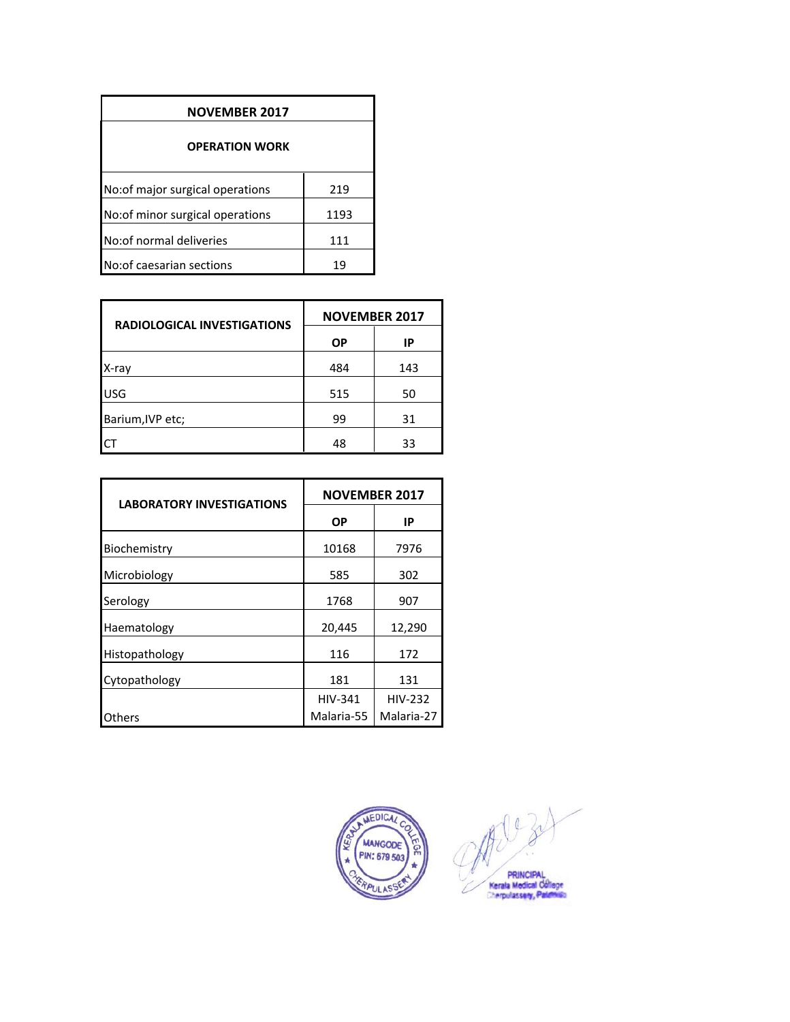| <b>NOVEMBER 2017</b>                    |      |  |  |  |
|-----------------------------------------|------|--|--|--|
| <b>OPERATION WORK</b>                   |      |  |  |  |
| No: of major surgical operations<br>219 |      |  |  |  |
| No: of minor surgical operations        | 1193 |  |  |  |
| No: of normal deliveries                | 111  |  |  |  |
| No: of caesarian sections               | 19   |  |  |  |

| <b>RADIOLOGICAL INVESTIGATIONS</b> | <b>NOVEMBER 2017</b> |     |  |
|------------------------------------|----------------------|-----|--|
|                                    | ΟP                   | IP  |  |
| X-ray                              | 484                  | 143 |  |
| <b>USG</b>                         | 515                  | 50  |  |
| Barium, IVP etc;                   | 99                   | 31  |  |
|                                    | 48                   | 33  |  |

| <b>LABORATORY INVESTIGATIONS</b> | <b>NOVEMBER 2017</b> |                |  |
|----------------------------------|----------------------|----------------|--|
|                                  | ΟP                   | IP             |  |
| Biochemistry                     | 10168                | 7976           |  |
| Microbiology                     | 585                  | 302            |  |
| Serology                         | 1768                 | 907            |  |
| Haematology                      | 20,445               | 12,290         |  |
| Histopathology                   | 116                  | 172            |  |
| Cytopathology                    | 181                  | 131            |  |
|                                  | <b>HIV-341</b>       | <b>HIV-232</b> |  |
| Others                           | Malaria-55           | Malaria-27     |  |



702 PRINCIPAL<br>Kerala Medical College<br>Cherpulassery, Palamun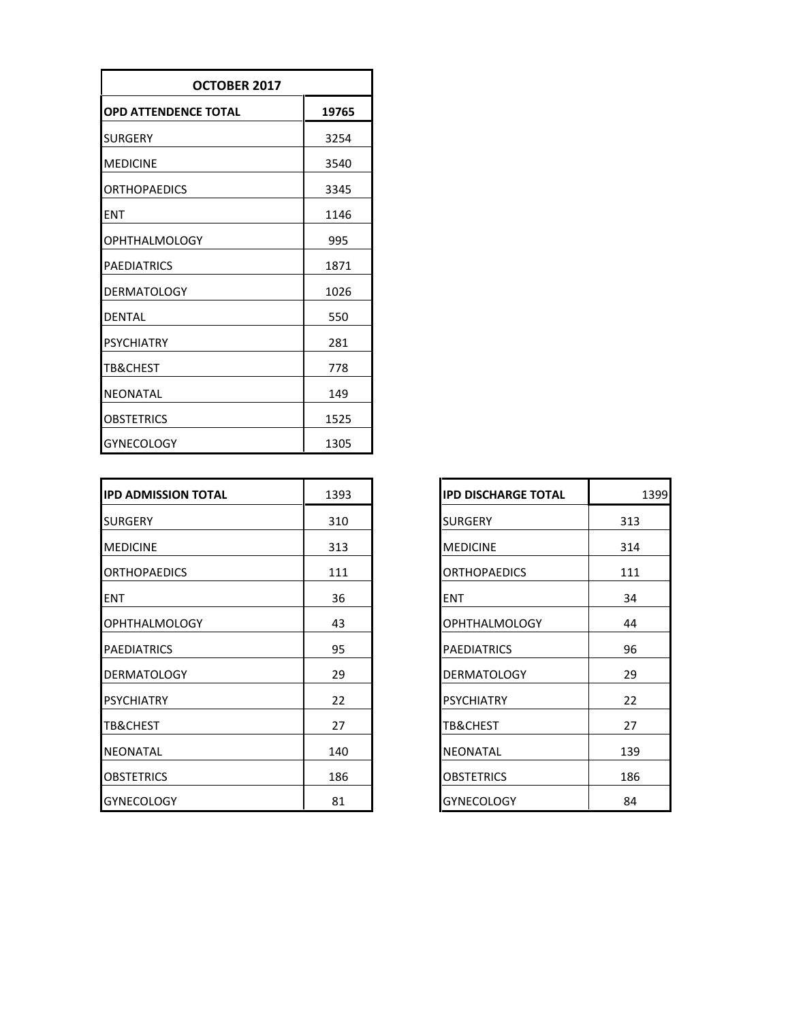| OCTOBER 2017                         |      |  |  |
|--------------------------------------|------|--|--|
| <b>OPD ATTENDENCE TOTAL</b><br>19765 |      |  |  |
| <b>SURGERY</b>                       | 3254 |  |  |
| <b>MEDICINE</b>                      | 3540 |  |  |
| <b>ORTHOPAEDICS</b>                  | 3345 |  |  |
| <b>ENT</b>                           | 1146 |  |  |
| <b>OPHTHALMOLOGY</b>                 | 995  |  |  |
| <b>PAEDIATRICS</b>                   | 1871 |  |  |
| <b>DERMATOLOGY</b>                   | 1026 |  |  |
| <b>DENTAL</b>                        | 550  |  |  |
| <b>PSYCHIATRY</b>                    | 281  |  |  |
| <b>TB&amp;CHEST</b>                  | 778  |  |  |
| NEONATAL                             | 149  |  |  |
| <b>OBSTETRICS</b>                    | 1525 |  |  |
| <b>GYNECOLOGY</b>                    | 1305 |  |  |

| <b>IPD ADMISSION TOTAL</b> | 1393 | <b>IPD DISCHARGE TOTAL</b> | 1399 |
|----------------------------|------|----------------------------|------|
| <b>SURGERY</b>             | 310  | <b>SURGERY</b>             | 313  |
| <b>MEDICINE</b>            | 313  | <b>MEDICINE</b>            | 314  |
| <b>ORTHOPAEDICS</b>        | 111  | <b>ORTHOPAEDICS</b>        | 111  |
| ENT                        | 36   | <b>ENT</b>                 | 34   |
| <b>OPHTHALMOLOGY</b>       | 43   | OPHTHALMOLOGY              | 44   |
| <b>PAEDIATRICS</b>         | 95   | <b>PAEDIATRICS</b>         | 96   |
| <b>DERMATOLOGY</b>         | 29   | <b>DERMATOLOGY</b>         | 29   |
| <b>PSYCHIATRY</b>          | 22   | <b>PSYCHIATRY</b>          | 22   |
| <b>TB&amp;CHEST</b>        | 27   | TB&CHEST                   | 27   |
| <b>NEONATAL</b>            | 140  | <b>NEONATAL</b>            | 139  |
| <b>OBSTETRICS</b>          | 186  | <b>OBSTETRICS</b>          | 186  |
| <b>GYNECOLOGY</b>          | 81   | <b>GYNECOLOGY</b>          | 84   |

| <b>IPD DISCHARGE TOTAL</b> | 1399 |
|----------------------------|------|
| SURGERY                    | 313  |
| <b>MEDICINE</b>            | 314  |
| <b>ORTHOPAEDICS</b>        | 111  |
| <b>ENT</b>                 | 34   |
| <b>OPHTHALMOLOGY</b>       | 44   |
| <b>PAEDIATRICS</b>         | 96   |
| <b>DERMATOLOGY</b>         | 29   |
| <b>PSYCHIATRY</b>          | 22   |
| TB&CHEST                   | 27   |
| NEONATAL                   | 139  |
| <b>OBSTETRICS</b>          | 186  |
| <b>GYNECOLOGY</b>          | 84   |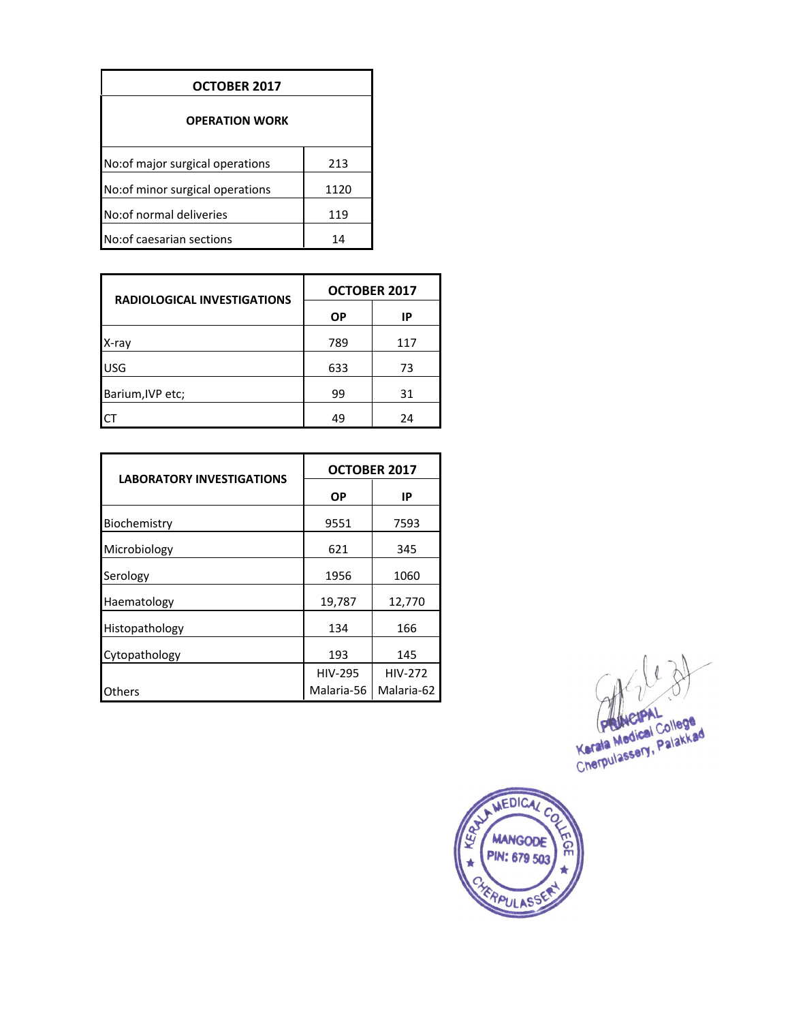| OCTOBER 2017                     |      |  |
|----------------------------------|------|--|
| <b>OPERATION WORK</b>            |      |  |
| No: of major surgical operations | 213  |  |
| No: of minor surgical operations | 1120 |  |
| No: of normal deliveries         | 119  |  |
| No: of caesarian sections        | 14   |  |

| <b>RADIOLOGICAL INVESTIGATIONS</b> | <b>OCTOBER 2017</b> |     |  |
|------------------------------------|---------------------|-----|--|
|                                    | ΟP                  | IP  |  |
| X-ray                              | 789                 | 117 |  |
| <b>USG</b>                         | 633                 | 73  |  |
| Barium, IVP etc;                   | 99                  | 31  |  |
|                                    | 49                  | 24  |  |

| <b>LABORATORY INVESTIGATIONS</b> | OCTOBER 2017   |                |  |
|----------------------------------|----------------|----------------|--|
|                                  | ΟP             | IP             |  |
| Biochemistry                     | 9551           | 7593           |  |
| Microbiology                     | 621            | 345            |  |
| Serology                         | 1956           | 1060           |  |
| Haematology                      | 19,787         | 12,770         |  |
| Histopathology                   | 134            | 166            |  |
| Cytopathology                    | 193            | 145            |  |
|                                  | <b>HIV-295</b> | <b>HIV-272</b> |  |
| Others                           | Malaria-56     | Malaria-62     |  |

 $\theta$ 

Kerala Medical College<br>Kerala Medical College<br>Cherpulassery, Palakkad

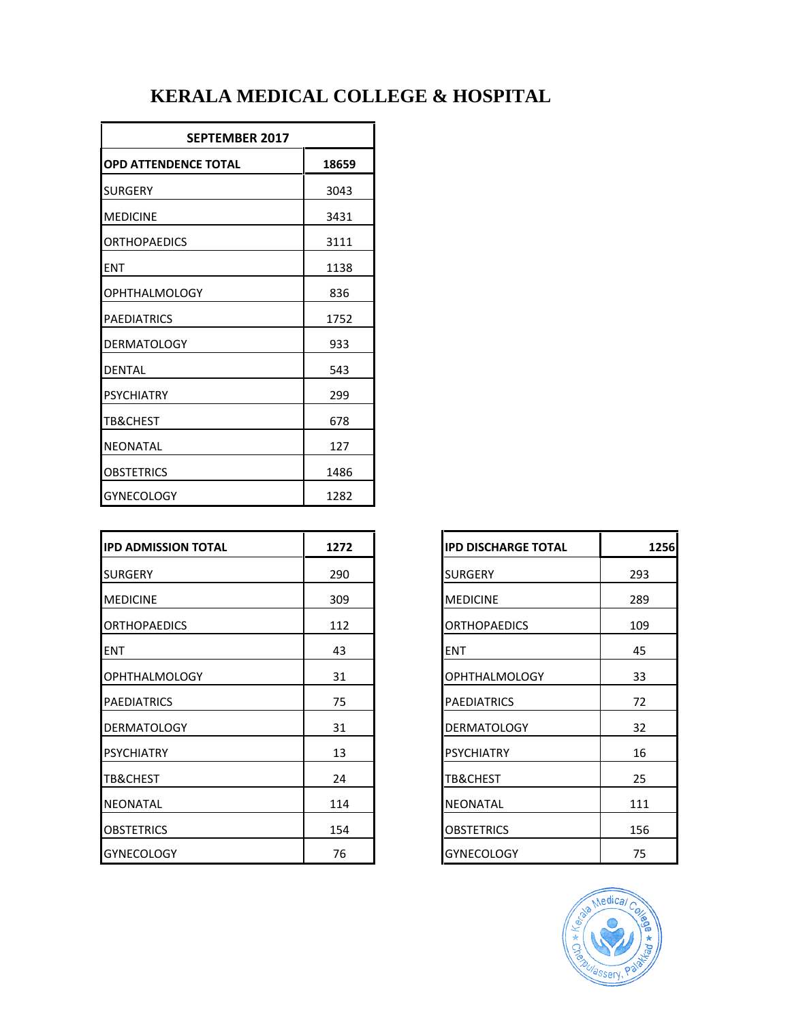| <b>SEPTEMBER 2017</b>                |      |  |  |
|--------------------------------------|------|--|--|
| <b>OPD ATTENDENCE TOTAL</b><br>18659 |      |  |  |
| <b>SURGERY</b>                       | 3043 |  |  |
| <b>MEDICINE</b>                      | 3431 |  |  |
| <b>ORTHOPAEDICS</b>                  | 3111 |  |  |
| <b>ENT</b>                           | 1138 |  |  |
| <b>OPHTHALMOLOGY</b>                 | 836  |  |  |
| <b>PAEDIATRICS</b>                   | 1752 |  |  |
| <b>DERMATOLOGY</b>                   | 933  |  |  |
| <b>DENTAL</b>                        | 543  |  |  |
| <b>PSYCHIATRY</b>                    | 299  |  |  |
| <b>TB&amp;CHEST</b>                  | 678  |  |  |
| <b>NEONATAL</b>                      | 127  |  |  |
| <b>OBSTETRICS</b>                    | 1486 |  |  |
| <b>GYNECOLOGY</b>                    | 1282 |  |  |

| <b>IPD ADMISSION TOTAL</b> | 1272 | <b>IPD DISCHARGE TOTAL</b> | 1256 |
|----------------------------|------|----------------------------|------|
| <b>SURGERY</b>             | 290  | <b>SURGERY</b>             | 293  |
| <b>MEDICINE</b>            | 309  | <b>MEDICINE</b>            | 289  |
| <b>ORTHOPAEDICS</b>        | 112  | <b>ORTHOPAEDICS</b>        | 109  |
| <b>ENT</b>                 | 43   | <b>ENT</b>                 | 45   |
| <b>OPHTHALMOLOGY</b>       | 31   | <b>OPHTHALMOLOGY</b>       | 33   |
| <b>PAEDIATRICS</b>         | 75   | <b>PAEDIATRICS</b>         | 72   |
| <b>DERMATOLOGY</b>         | 31   | <b>DERMATOLOGY</b>         | 32   |
| <b>PSYCHIATRY</b>          | 13   | <b>PSYCHIATRY</b>          | 16   |
| <b>TB&amp;CHEST</b>        | 24   | <b>TB&amp;CHEST</b>        | 25   |
| <b>NEONATAL</b>            | 114  | <b>NEONATAL</b>            | 111  |
| <b>OBSTETRICS</b>          | 154  | <b>OBSTETRICS</b>          | 156  |
| <b>GYNECOLOGY</b>          | 76   | <b>GYNECOLOGY</b>          | 75   |

| <b>IPD DISCHARGE TOTAL</b> | 1256 |
|----------------------------|------|
| <b>SURGERY</b>             | 293  |
| <b>MEDICINE</b>            | 289  |
| <b>ORTHOPAEDICS</b>        | 109  |
| <b>ENT</b>                 | 45   |
| <b>OPHTHALMOLOGY</b>       | 33   |
| <b>PAEDIATRICS</b>         | 72   |
| <b>DERMATOLOGY</b>         | 32   |
| <b>PSYCHIATRY</b>          | 16   |
| TB&CHEST                   | 25   |
| <b>NEONATAL</b>            | 111  |
| <b>OBSTETRICS</b>          | 156  |
| <b>GYNECOLOGY</b>          | 75   |

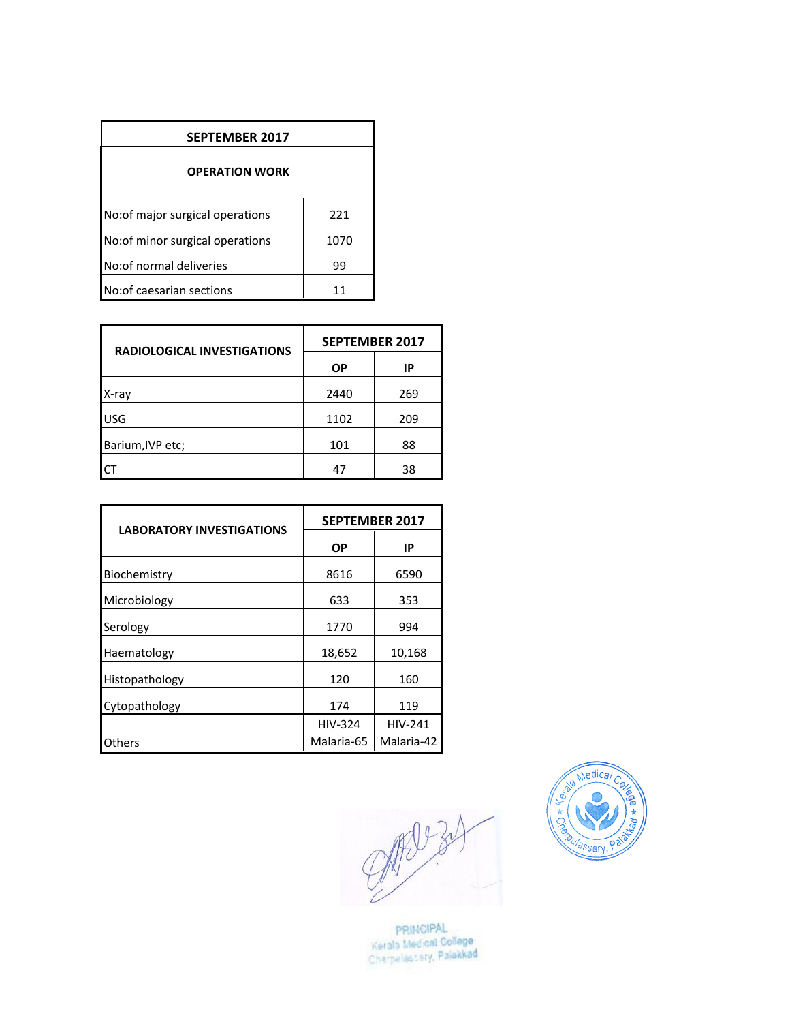| <b>SEPTEMBER 2017</b>           |      |  |
|---------------------------------|------|--|
| <b>OPERATION WORK</b>           |      |  |
| No:of major surgical operations | 221  |  |
| No:of minor surgical operations | 1070 |  |
| No: of normal deliveries        | 99   |  |
| No: of caesarian sections       |      |  |

| <b>RADIOLOGICAL INVESTIGATIONS</b> | <b>SEPTEMBER 2017</b> |     |  |
|------------------------------------|-----------------------|-----|--|
|                                    | <b>OP</b>             | IP  |  |
| X-ray                              | 2440                  | 269 |  |
| <b>USG</b>                         | 1102                  | 209 |  |
| Barium, IVP etc;                   | 101                   | 88  |  |
|                                    | 47                    | 38  |  |

| <b>LABORATORY INVESTIGATIONS</b> | <b>SEPTEMBER 2017</b> |                |  |
|----------------------------------|-----------------------|----------------|--|
|                                  | ΟP                    | IP             |  |
| Biochemistry                     | 8616                  | 6590           |  |
| Microbiology                     | 633                   | 353            |  |
| Serology                         | 1770                  | 994            |  |
| Haematology                      | 18,652                | 10,168         |  |
| Histopathology                   | 120                   | 160            |  |
| Cytopathology                    | 174                   | 119            |  |
|                                  | <b>HIV-324</b>        | <b>HIV-241</b> |  |
| Others                           | Malaria-65            | Malaria-42     |  |

 $9030$ 



PRINGIPAL<br>Kerala Medical College<br>Cherpalas: 51y, Palakkad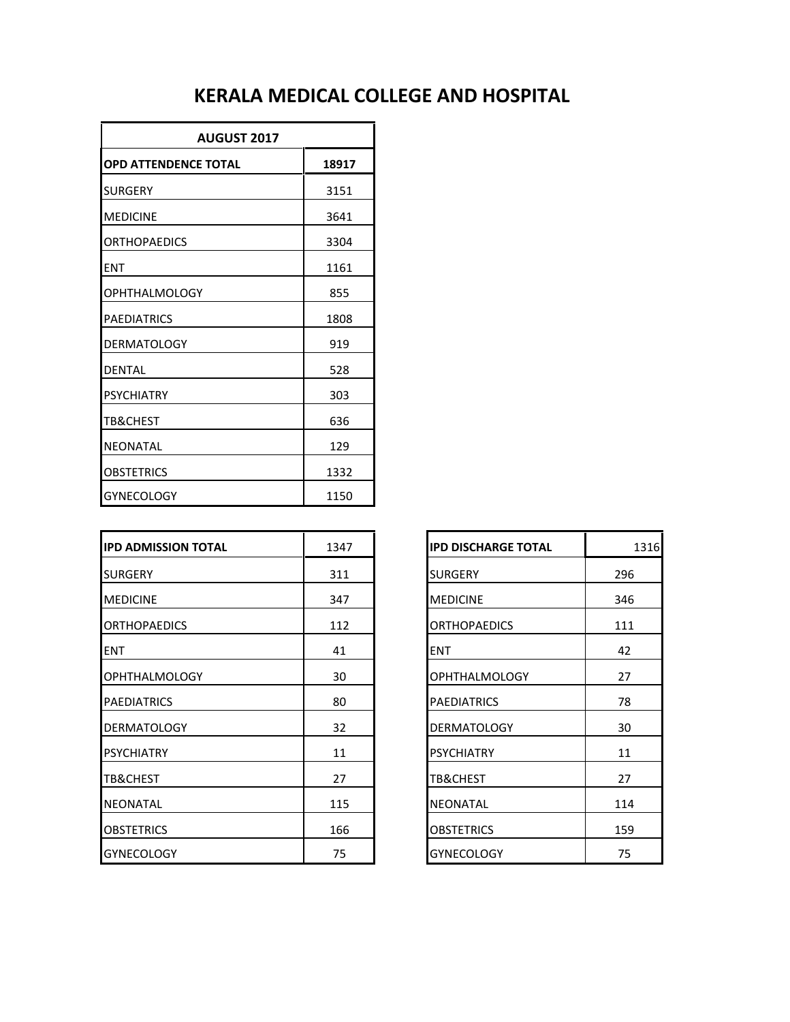| <b>AUGUST 2017</b>          |       |  |
|-----------------------------|-------|--|
| <b>OPD ATTENDENCE TOTAL</b> | 18917 |  |
| <b>SURGERY</b>              | 3151  |  |
| <b>MEDICINE</b>             | 3641  |  |
| <b>ORTHOPAEDICS</b>         | 3304  |  |
| <b>FNT</b>                  | 1161  |  |
| OPHTHALMOLOGY               | 855   |  |
| <b>PAEDIATRICS</b>          | 1808  |  |
| <b>DERMATOLOGY</b>          | 919   |  |
| <b>DENTAL</b>               | 528   |  |
| <b>PSYCHIATRY</b>           | 303   |  |
| TB&CHEST                    | 636   |  |
| <b>NEONATAL</b>             | 129   |  |
| <b>OBSTETRICS</b>           | 1332  |  |
| <b>GYNECOLOGY</b>           | 1150  |  |

| <b>IPD ADMISSION TOTAL</b> | 1347 | <b>IPD DISCHARGE TOTAL</b> | 1316 |
|----------------------------|------|----------------------------|------|
| <b>SURGERY</b>             | 311  | <b>SURGERY</b>             | 296  |
| <b>MEDICINE</b>            | 347  | <b>MEDICINE</b>            | 346  |
| <b>ORTHOPAEDICS</b>        | 112  | <b>ORTHOPAEDICS</b>        | 111  |
| <b>ENT</b>                 | 41   | <b>ENT</b>                 | 42   |
| <b>OPHTHALMOLOGY</b>       | 30   | <b>OPHTHALMOLOGY</b>       | 27   |
| <b>PAEDIATRICS</b>         | 80   | <b>PAEDIATRICS</b>         | 78   |
| <b>DERMATOLOGY</b>         | 32   | <b>DERMATOLOGY</b>         | 30   |
| <b>PSYCHIATRY</b>          | 11   | <b>PSYCHIATRY</b>          | 11   |
| <b>TB&amp;CHEST</b>        | 27   | TB&CHEST                   | 27   |
| <b>NEONATAL</b>            | 115  | <b>NEONATAL</b>            | 114  |
| <b>OBSTETRICS</b>          | 166  | <b>OBSTETRICS</b>          | 159  |
| <b>GYNECOLOGY</b>          | 75   | <b>GYNECOLOGY</b>          | 75   |

| <b>IPD DISCHARGE TOTAL</b> | 1316 |
|----------------------------|------|
| <b>SURGERY</b>             | 296  |
| <b>MEDICINE</b>            | 346  |
| ORTHOPAEDICS               | 111  |
| <b>ENT</b>                 | 42   |
| <b>OPHTHALMOLOGY</b>       | 27   |
| <b>PAEDIATRICS</b>         | 78   |
| <b>DERMATOLOGY</b>         | 30   |
| <b>PSYCHIATRY</b>          | 11   |
| TB&CHEST                   | 27   |
| <b>NEONATAL</b>            | 114  |
| OBSTETRICS                 | 159  |
| <b>GYNECOLOGY</b>          | 75   |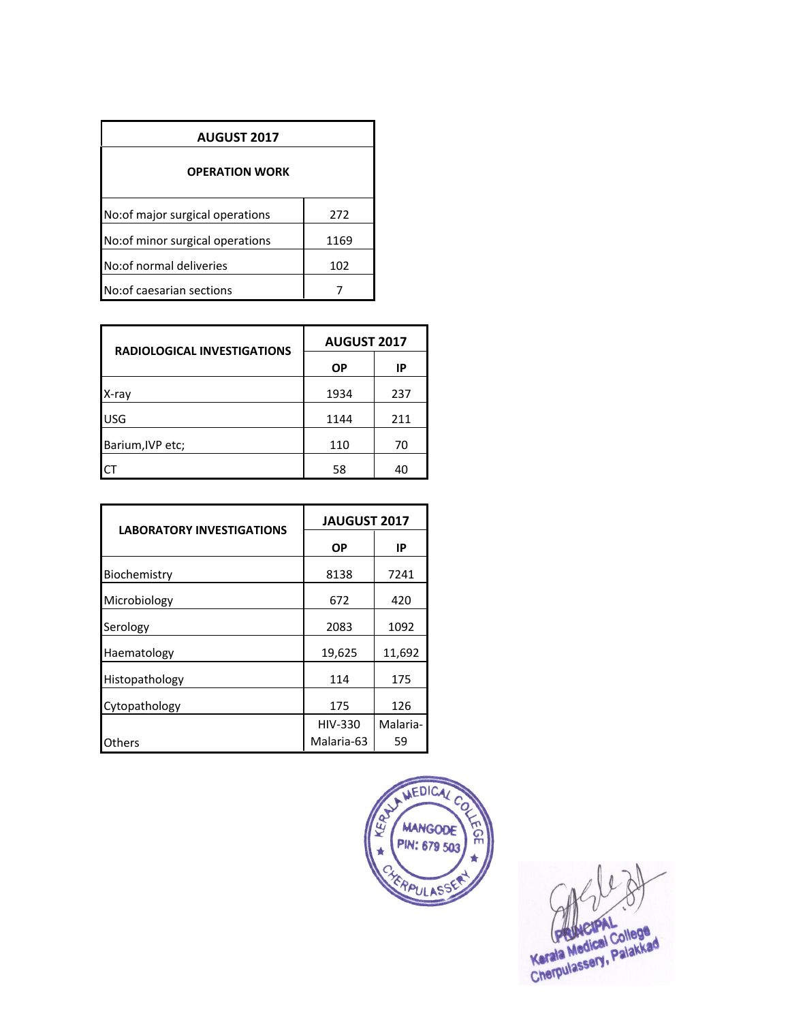| <b>AUGUST 2017</b>              |      |  |  |
|---------------------------------|------|--|--|
| <b>OPERATION WORK</b>           |      |  |  |
| No:of major surgical operations | 272  |  |  |
| No:of minor surgical operations | 1169 |  |  |
| No: of normal deliveries        | 102  |  |  |
| No: of caesarian sections       |      |  |  |

| <b>RADIOLOGICAL INVESTIGATIONS</b> | <b>AUGUST 2017</b> |     |  |
|------------------------------------|--------------------|-----|--|
|                                    | <b>OP</b>          | IP  |  |
| X-ray                              | 1934               | 237 |  |
| <b>USG</b>                         | 1144               | 211 |  |
| Barium, IVP etc;                   | 110                | 70  |  |
|                                    | 58                 | 40  |  |

| <b>LABORATORY INVESTIGATIONS</b> | <b>JAUGUST 2017</b> |          |  |
|----------------------------------|---------------------|----------|--|
|                                  | ΟP                  | IP       |  |
| Biochemistry                     | 8138                | 7241     |  |
| Microbiology                     | 672                 | 420      |  |
| Serology                         | 2083                | 1092     |  |
| Haematology                      | 19,625              | 11,692   |  |
| Histopathology                   | 114                 | 175      |  |
| Cytopathology                    | 175                 | 126      |  |
|                                  | <b>HIV-330</b>      | Malaria- |  |
| Others                           | Malaria-63          | 59       |  |



 $\sqrt{ }$ Kerala Medical College<br>Kerala Medical College<br>Cherpulassery, Palakkad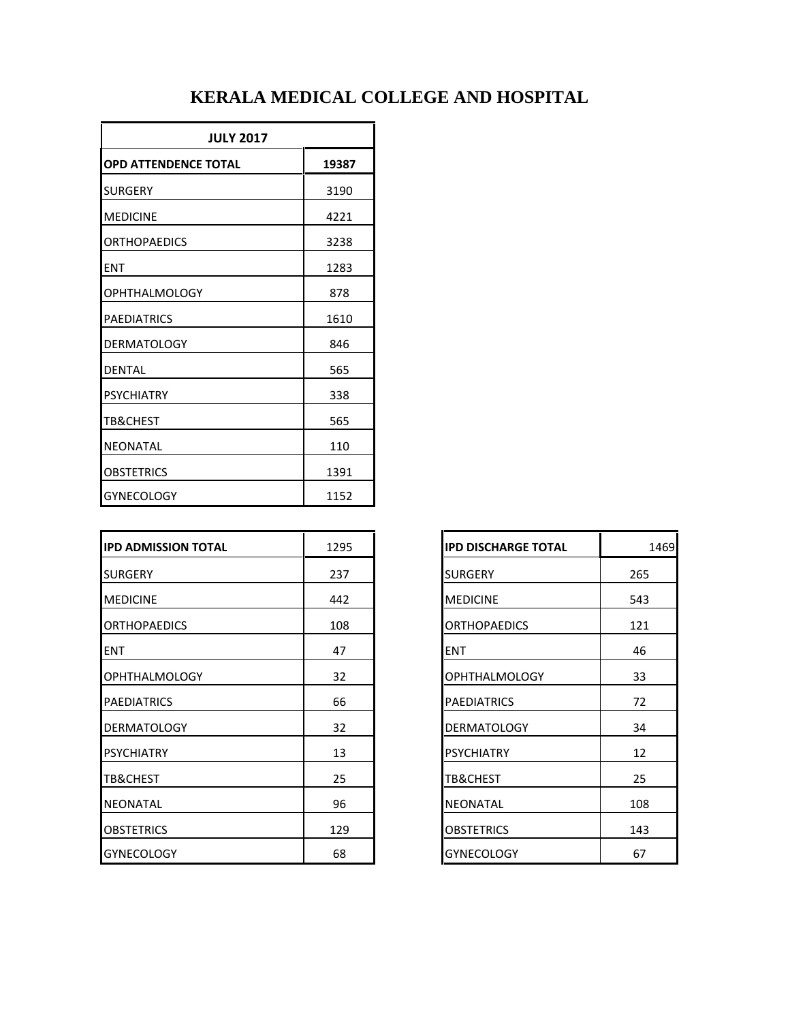| <b>JULY 2017</b>            |       |
|-----------------------------|-------|
| <b>OPD ATTENDENCE TOTAL</b> | 19387 |
| <b>SURGERY</b>              | 3190  |
| <b>MEDICINE</b>             | 4221  |
| <b>ORTHOPAEDICS</b>         | 3238  |
| <b>ENT</b>                  | 1283  |
| <b>OPHTHALMOLOGY</b>        | 878   |
| <b>PAEDIATRICS</b>          | 1610  |
| <b>DERMATOLOGY</b>          | 846   |
| <b>DENTAL</b>               | 565   |
| <b>PSYCHIATRY</b>           | 338   |
| TB&CHEST                    | 565   |
| <b>NEONATAL</b>             | 110   |
| <b>OBSTETRICS</b>           | 1391  |
| <b>GYNECOLOGY</b>           | 1152  |

| <b>IPD ADMISSION TOTAL</b> | 1295 | <b>IPD DISCHARGE TOTAL</b> | 1469 |
|----------------------------|------|----------------------------|------|
| <b>SURGERY</b>             | 237  | <b>SURGERY</b>             | 265  |
| <b>MEDICINE</b>            | 442  | <b>MEDICINE</b>            | 543  |
| <b>ORTHOPAEDICS</b>        | 108  | <b>ORTHOPAEDICS</b>        | 121  |
| <b>ENT</b>                 | 47   | <b>ENT</b>                 | 46   |
| <b>OPHTHALMOLOGY</b>       | 32   | <b>OPHTHALMOLOGY</b>       | 33   |
| <b>PAEDIATRICS</b>         | 66   | <b>PAEDIATRICS</b>         | 72   |
| <b>DERMATOLOGY</b>         | 32   | <b>DERMATOLOGY</b>         | 34   |
| <b>PSYCHIATRY</b>          | 13   | <b>PSYCHIATRY</b>          | 12   |
| <b>TB&amp;CHEST</b>        | 25   | <b>TB&amp;CHEST</b>        | 25   |
| <b>NEONATAL</b>            | 96   | <b>NEONATAL</b>            | 108  |
| <b>OBSTETRICS</b>          | 129  | <b>OBSTETRICS</b>          | 143  |
| <b>GYNECOLOGY</b>          | 68   | <b>GYNECOLOGY</b>          | 67   |

| <b>IPD DISCHARGE TOTAL</b> | 1469 |
|----------------------------|------|
| <b>SURGERY</b>             | 265  |
| <b>MEDICINE</b>            | 543  |
| <b>ORTHOPAEDICS</b>        | 121  |
| ENT                        | 46   |
| <b>OPHTHALMOLOGY</b>       | 33   |
| <b>PAEDIATRICS</b>         | 72   |
| <b>DERMATOLOGY</b>         | 34   |
| <b>PSYCHIATRY</b>          | 12   |
| TB&CHEST                   | 25   |
| NEONATAL                   | 108  |
| <b>OBSTETRICS</b>          | 143  |
| <b>GYNECOLOGY</b>          | 67   |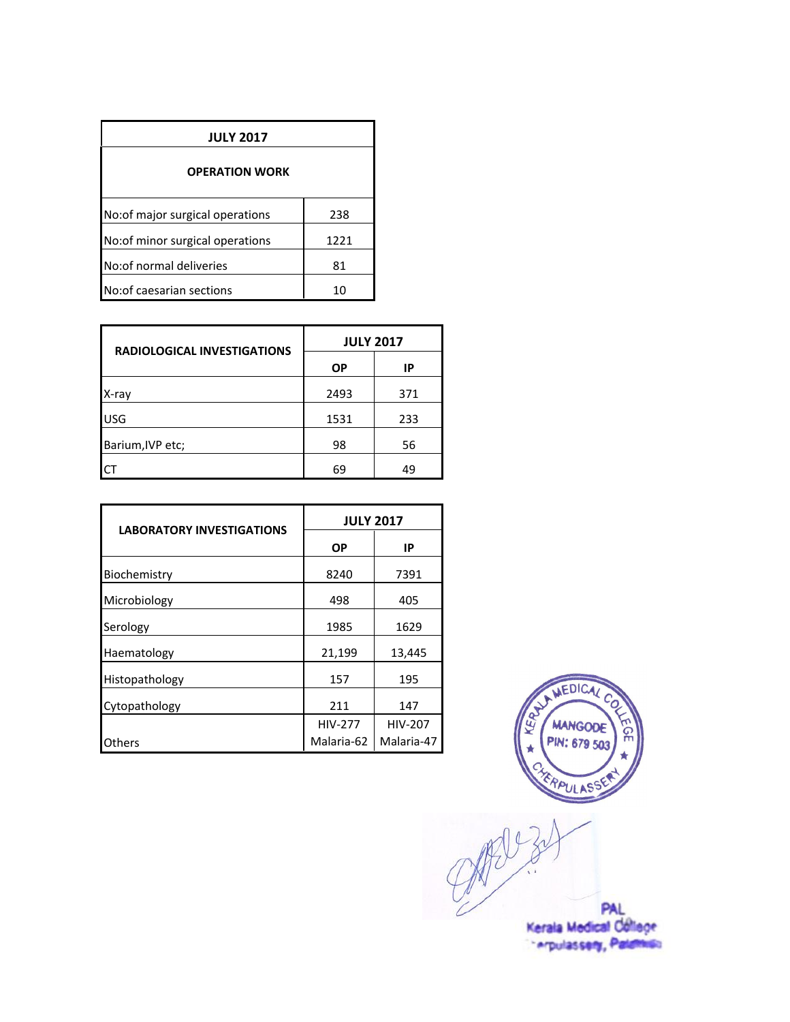| <b>JULY 2017</b>                |      |
|---------------------------------|------|
| <b>OPERATION WORK</b>           |      |
| No:of major surgical operations | 238  |
| No:of minor surgical operations | 1221 |
| No: of normal deliveries        | 81   |
| No: of caesarian sections       | 10   |

| <b>RADIOLOGICAL INVESTIGATIONS</b> | <b>JULY 2017</b> |     |  |
|------------------------------------|------------------|-----|--|
|                                    | <b>OP</b>        | IP  |  |
| X-ray                              | 2493             | 371 |  |
| <b>USG</b>                         | 1531             | 233 |  |
| Barium, IVP etc;                   | 98               | 56  |  |
| ٢٦                                 | 69               | 49  |  |

| <b>LABORATORY INVESTIGATIONS</b> | <b>JULY 2017</b> |            |  |
|----------------------------------|------------------|------------|--|
|                                  | ΟP               | IP         |  |
| Biochemistry                     | 8240             | 7391       |  |
| Microbiology                     | 498              | 405        |  |
| Serology                         | 1985             | 1629       |  |
| Haematology                      | 21,199           | 13,445     |  |
| Histopathology                   | 157              | 195        |  |
| Cytopathology                    | 211              | 147        |  |
|                                  | <b>HIV-277</b>   | HIV-207    |  |
| Others                           | Malaria-62       | Malaria-47 |  |



PAL<br>Kerala Medical College

" Arpulassery, Palamies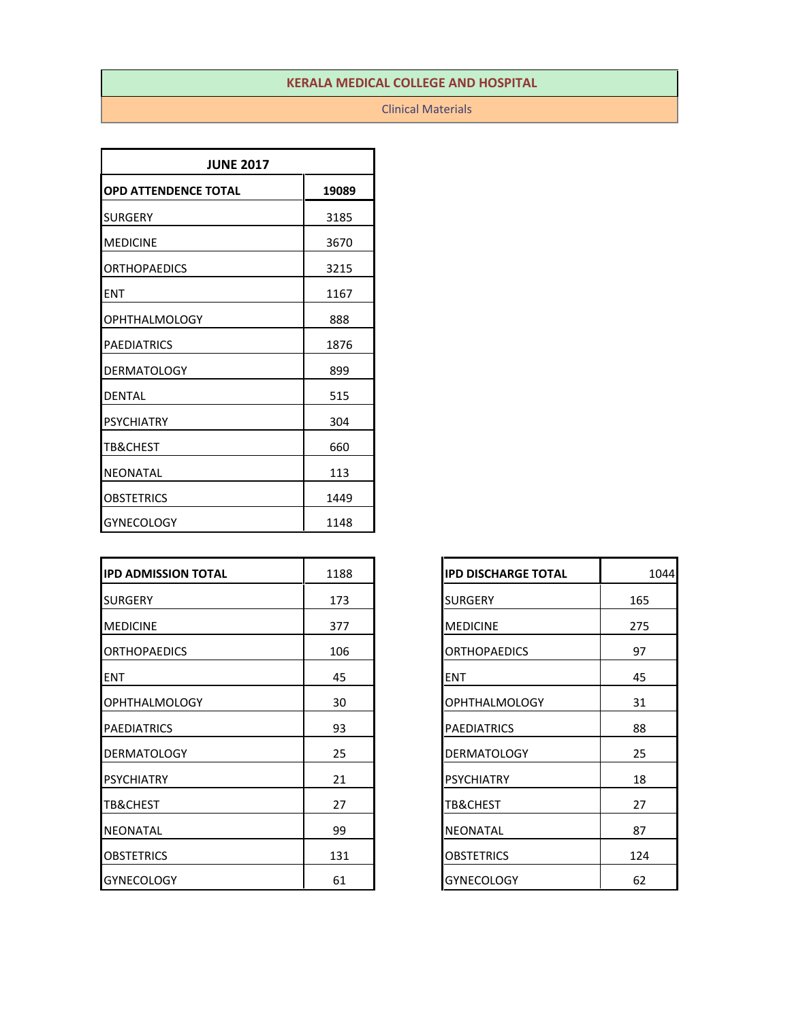#### Clinical Materials

| <b>JUNE 2017</b>            |       |  |
|-----------------------------|-------|--|
| <b>OPD ATTENDENCE TOTAL</b> | 19089 |  |
| <b>SURGERY</b>              | 3185  |  |
| <b>MEDICINE</b>             | 3670  |  |
| <b>ORTHOPAEDICS</b>         | 3215  |  |
| <b>ENT</b>                  | 1167  |  |
| <b>OPHTHALMOLOGY</b>        | 888   |  |
| <b>PAEDIATRICS</b>          | 1876  |  |
| <b>DERMATOLOGY</b>          | 899   |  |
| <b>DENTAL</b>               | 515   |  |
| <b>PSYCHIATRY</b>           | 304   |  |
| TB&CHEST                    | 660   |  |
| <b>NEONATAL</b>             | 113   |  |
| OBSTETRICS                  | 1449  |  |
| <b>GYNECOLOGY</b>           | 1148  |  |

| <b>IPD ADMISSION TOTAL</b> | 1188 | <b>IPD DISCHARGE TOTAL</b> | 1044 |
|----------------------------|------|----------------------------|------|
| <b>SURGERY</b>             | 173  | <b>SURGERY</b>             | 165  |
| <b>MEDICINE</b>            | 377  | <b>MEDICINE</b>            | 275  |
| <b>ORTHOPAEDICS</b>        | 106  | <b>ORTHOPAEDICS</b>        | 97   |
| <b>ENT</b>                 | 45   | <b>ENT</b>                 | 45   |
| <b>OPHTHALMOLOGY</b>       | 30   | <b>OPHTHALMOLOGY</b>       | 31   |
| <b>PAEDIATRICS</b>         | 93   | <b>PAEDIATRICS</b>         | 88   |
| <b>DERMATOLOGY</b>         | 25   | <b>DERMATOLOGY</b>         | 25   |
| <b>PSYCHIATRY</b>          | 21   | <b>PSYCHIATRY</b>          | 18   |
| <b>TB&amp;CHEST</b>        | 27   | <b>TB&amp;CHEST</b>        | 27   |
| <b>NEONATAL</b>            | 99   | <b>NEONATAL</b>            | 87   |
| <b>OBSTETRICS</b>          | 131  | <b>OBSTETRICS</b>          | 124  |
| <b>GYNECOLOGY</b>          | 61   | <b>GYNECOLOGY</b>          | 62   |

| <b>IPD DISCHARGE TOTAL</b> | 1044 |
|----------------------------|------|
| <b>SURGERY</b>             | 165  |
| <b>MEDICINE</b>            | 275  |
| <b>ORTHOPAEDICS</b>        | 97   |
| <b>ENT</b>                 | 45   |
| <b>OPHTHALMOLOGY</b>       | 31   |
| <b>PAEDIATRICS</b>         | 88   |
| <b>DERMATOLOGY</b>         | 25   |
| <b>PSYCHIATRY</b>          | 18   |
| TB&CHEST                   | 27   |
| <b>NEONATAL</b>            | 87   |
| OBSTETRICS                 | 124  |
| <b>GYNECOLOGY</b>          | 62   |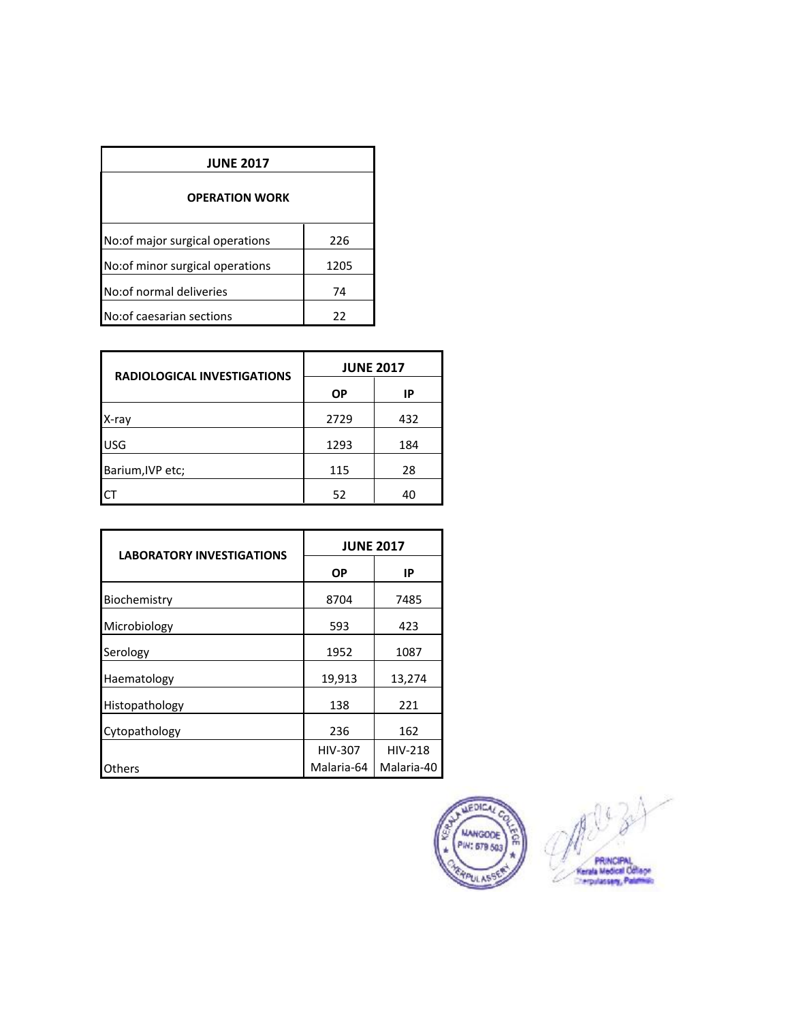| <b>JUNE 2017</b>                 |      |
|----------------------------------|------|
| <b>OPERATION WORK</b>            |      |
| No:of major surgical operations  | 226  |
| No: of minor surgical operations | 1205 |
| No: of normal deliveries         | 74   |
| No: of caesarian sections        | 22   |

| <b>RADIOLOGICAL INVESTIGATIONS</b> | <b>JUNE 2017</b> |     |  |
|------------------------------------|------------------|-----|--|
|                                    | <b>OP</b>        | IP  |  |
| X-ray                              | 2729             | 432 |  |
| <b>USG</b>                         | 1293             | 184 |  |
| Barium, IVP etc;                   | 115              | 28  |  |
| ICT                                | 52               | 40  |  |

| <b>LABORATORY INVESTIGATIONS</b> | <b>JUNE 2017</b> |                |  |
|----------------------------------|------------------|----------------|--|
|                                  | <b>OP</b>        | IP             |  |
| Biochemistry                     | 8704             | 7485           |  |
| Microbiology                     | 593              | 423            |  |
| Serology                         | 1952             | 1087           |  |
| Haematology                      | 19,913           | 13,274         |  |
| Histopathology                   | 138              | 221            |  |
| Cytopathology                    | 236              | 162            |  |
|                                  | <b>HIV-307</b>   | <b>HIV-218</b> |  |
| Others                           | Malaria-64       | Malaria-40     |  |

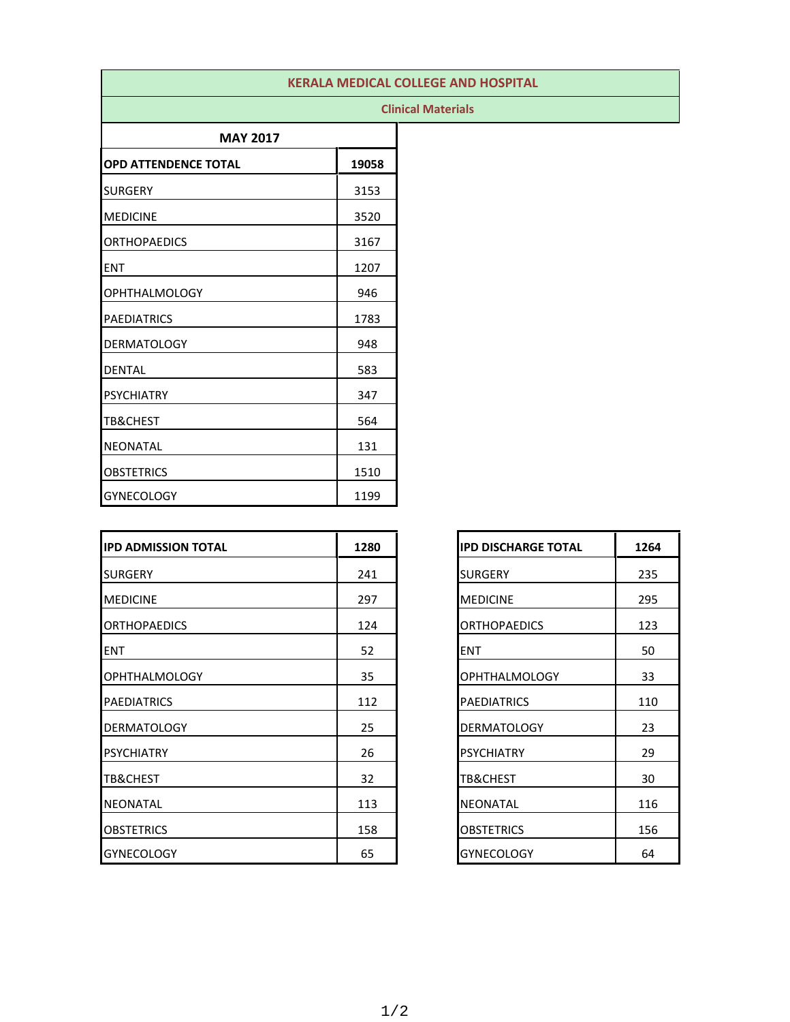|                             |       | <b>KERALA MEDICAL COLLEGE AND HOSPITAL</b> |
|-----------------------------|-------|--------------------------------------------|
|                             |       | <b>Clinical Materials</b>                  |
| <b>MAY 2017</b>             |       |                                            |
| <b>OPD ATTENDENCE TOTAL</b> | 19058 |                                            |
| <b>SURGERY</b>              | 3153  |                                            |
| <b>MEDICINE</b>             | 3520  |                                            |
| <b>ORTHOPAEDICS</b>         | 3167  |                                            |
| <b>ENT</b>                  | 1207  |                                            |
| <b>OPHTHALMOLOGY</b>        | 946   |                                            |
| <b>PAEDIATRICS</b>          | 1783  |                                            |
| <b>DERMATOLOGY</b>          | 948   |                                            |
| <b>DENTAL</b>               | 583   |                                            |
| <b>PSYCHIATRY</b>           | 347   |                                            |
| <b>TB&amp;CHEST</b>         | 564   |                                            |
| <b>NEONATAL</b>             | 131   |                                            |
| <b>OBSTETRICS</b>           | 1510  |                                            |
| <b>GYNECOLOGY</b>           | 1199  |                                            |

| <b>IPD ADMISSION TOTAL</b> | 1280 | <b>IIPD DISCHARGE TOTAL</b> | 1264 |
|----------------------------|------|-----------------------------|------|
| <b>SURGERY</b>             | 241  | <b>SURGERY</b>              | 235  |
| <b>MEDICINE</b>            | 297  | <b>MEDICINE</b>             | 295  |
| <b>ORTHOPAEDICS</b>        | 124  | <b>ORTHOPAEDICS</b>         | 123  |
| <b>ENT</b>                 | 52   | <b>ENT</b>                  | 50   |
| <b>OPHTHALMOLOGY</b>       | 35   | <b>OPHTHALMOLOGY</b>        | 33   |
| PAEDIATRICS                | 112  | <b>PAEDIATRICS</b>          | 110  |
| <b>DERMATOLOGY</b>         | 25   | <b>DERMATOLOGY</b>          | 23   |
| <b>PSYCHIATRY</b>          | 26   | <b>PSYCHIATRY</b>           | 29   |
| <b>TB&amp;CHEST</b>        | 32   | TB&CHEST                    | 30   |
| INEONATAL                  | 113  | INEONATAL                   | 116  |
| <b>OBSTETRICS</b>          | 158  | <b>OBSTETRICS</b>           | 156  |
| <b>GYNECOLOGY</b>          | 65   | <b>GYNECOLOGY</b>           | 64   |

| <b>IPD DISCHARGE TOTAL</b> | 1264 |
|----------------------------|------|
| SURGERY                    | 235  |
| <b>MEDICINE</b>            | 295  |
| <b>ORTHOPAEDICS</b>        | 123  |
| <b>ENT</b>                 | 50   |
| <b>OPHTHALMOLOGY</b>       | 33   |
| <b>PAEDIATRICS</b>         | 110  |
| <b>DERMATOLOGY</b>         | 23   |
| PSYCHIATRY                 | 29   |
| TB&CHEST                   | 30   |
| NEONATAL                   | 116  |
| OBSTETRICS                 | 156  |
| <b>GYNECOLOGY</b>          | 64   |

### 1/2